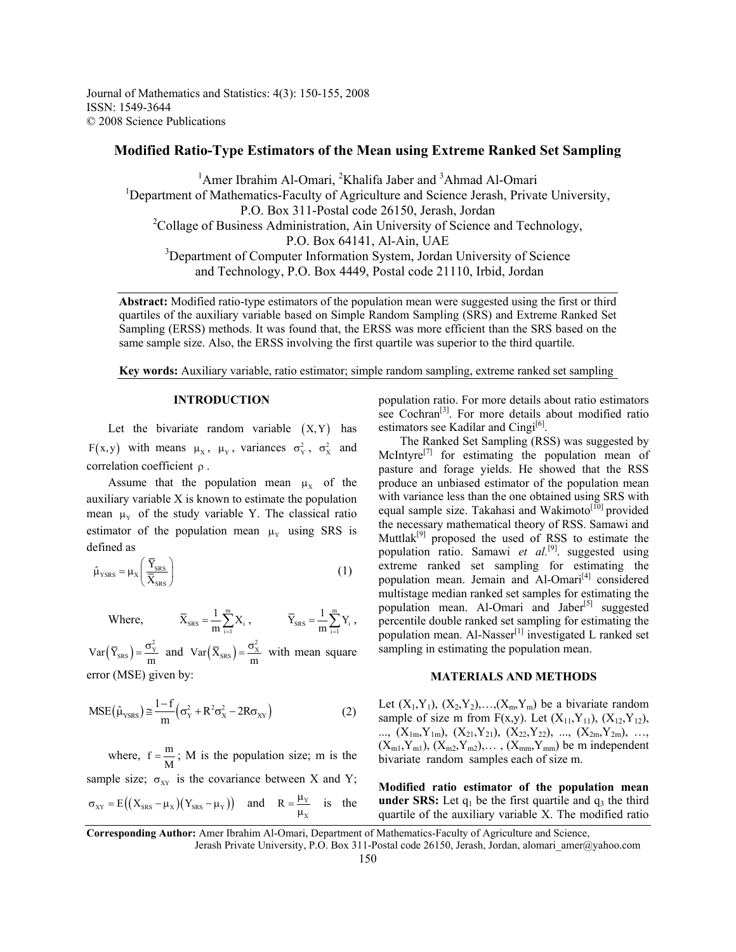Journal of Mathematics and Statistics: 4(3): 150-155, 2008 ISSN: 1549-3644 © 2008 Science Publications

# **Modified Ratio-Type Estimators of the Mean using Extreme Ranked Set Sampling**

<sup>1</sup>Amer Ibrahim Al-Omari, <sup>2</sup>Khalifa Jaber and <sup>3</sup>Ahmad Al-Omari <sup>1</sup>Department of Mathematics-Faculty of Agriculture and Science Jerash, Private University, P.O. Box 311-Postal code 26150, Jerash, Jordan <sup>2</sup>Collage of Business Administration, Ain University of Science and Technology, P.O. Box 64141, Al-Ain, UAE <sup>3</sup>Department of Computer Information System, Jordan University of Science and Technology, P.O. Box 4449, Postal code 21110, Irbid, Jordan

**Abstract:** Modified ratio-type estimators of the population mean were suggested using the first or third quartiles of the auxiliary variable based on Simple Random Sampling (SRS) and Extreme Ranked Set Sampling (ERSS) methods. It was found that, the ERSS was more efficient than the SRS based on the same sample size. Also, the ERSS involving the first quartile was superior to the third quartile.

**Key words:** Auxiliary variable, ratio estimator; simple random sampling, extreme ranked set sampling

#### **INTRODUCTION**

Let the bivariate random variable  $(X, Y)$  has F(x,y) with means  $\mu_X$ ,  $\mu_Y$ , variances  $\sigma_Y^2$ ,  $\sigma_X^2$  and correlation coefficient ρ .

Assume that the population mean  $\mu_X$  of the auxiliary variable X is known to estimate the population mean  $\mu_Y$  of the study variable Y. The classical ratio estimator of the population mean  $\mu$ <sub>y</sub> using SRS is defined as

$$
\hat{\mu}_{\text{YSRS}} = \mu_{\text{X}} \left( \frac{\overline{Y}_{\text{SRS}}}{\overline{X}_{\text{SRS}}} \right) \tag{1}
$$

Where,

$$
\overline{X}_{\text{SRS}} = \frac{1}{m} \sum_{i=1}^m X_i \; , \qquad \qquad \overline{Y}_{\text{SRS}} = \frac{1}{m} \sum_{i=1}^m Y_i \; ,
$$

 $Var(\bar{Y}_{SRS}) = \frac{\sigma_Y^2}{m}$  and  $Var(\bar{X}_{SRS}) = \frac{\sigma_X^2}{m}$  with mean square error (MSE) given by:

$$
MSE(\hat{\mu}_{YSRS}) \approx \frac{1-f}{m} \left( \sigma_Y^2 + R^2 \sigma_X^2 - 2R \sigma_{XY} \right)
$$
 (2)

where,  $f = \frac{m}{M}$ ; M is the population size; m is the sample size;  $\sigma_{XY}$  is the covariance between X and Y;  $\sigma_{XY} = E((X_{SRS} - \mu_X)(Y_{SRS} - \mu_Y))$  and  $R = \frac{\mu_Y}{\mu_X}$  is the population ratio. For more details about ratio estimators see Cochran<sup>[3]</sup>. For more details about modified ratio estimators see Kadilar and Cingi $[6]$ .

 The Ranked Set Sampling (RSS) was suggested by McIntyre<sup>[7]</sup> for estimating the population mean of pasture and forage yields. He showed that the RSS produce an unbiased estimator of the population mean with variance less than the one obtained using SRS with equal sample size. Takahasi and Wakimoto<sup>[10]</sup> provided the necessary mathematical theory of RSS. Samawi and Muttlak<sup>[9]</sup> proposed the used of RSS to estimate the population ratio. Samawi *et al.*[9]. suggested using extreme ranked set sampling for estimating the population mean. Jemain and Al-Omari<sup>[4]</sup> considered multistage median ranked set samples for estimating the population mean. Al-Omari and Jaber<sup>[5]</sup> suggested percentile double ranked set sampling for estimating the population mean. Al-Nasser<sup>[1]</sup> investigated L ranked set sampling in estimating the population mean.

## **MATERIALS AND METHODS**

Let  $(X_1, Y_1)$ ,  $(X_2, Y_2)$ ,  $\ldots$ ,  $(X_m, Y_m)$  be a bivariate random sample of size m from  $F(x,y)$ . Let  $(X_{11}, Y_{11})$ ,  $(X_{12}, Y_{12})$ , ...,  $(X_{1m}, Y_{1m})$ ,  $(X_{21}, Y_{21})$ ,  $(X_{22}, Y_{22})$ , ...,  $(X_{2m}, Y_{2m})$ , ...  $(X_{m1}, Y_{m1}), (X_{m2}, Y_{m2}), \ldots, (X_{mm}, Y_{mm})$  be m independent bivariate random samples each of size m.

**Modified ratio estimator of the population mean under SRS:** Let  $q_1$  be the first quartile and  $q_3$  the third quartile of the auxiliary variable X. The modified ratio

Jerash Private University, P.O. Box 311-Postal code 26150, Jerash, Jordan, alomari\_amer@yahoo.com

**Corresponding Author:** Amer Ibrahim Al-Omari, Department of Mathematics-Faculty of Agriculture and Science,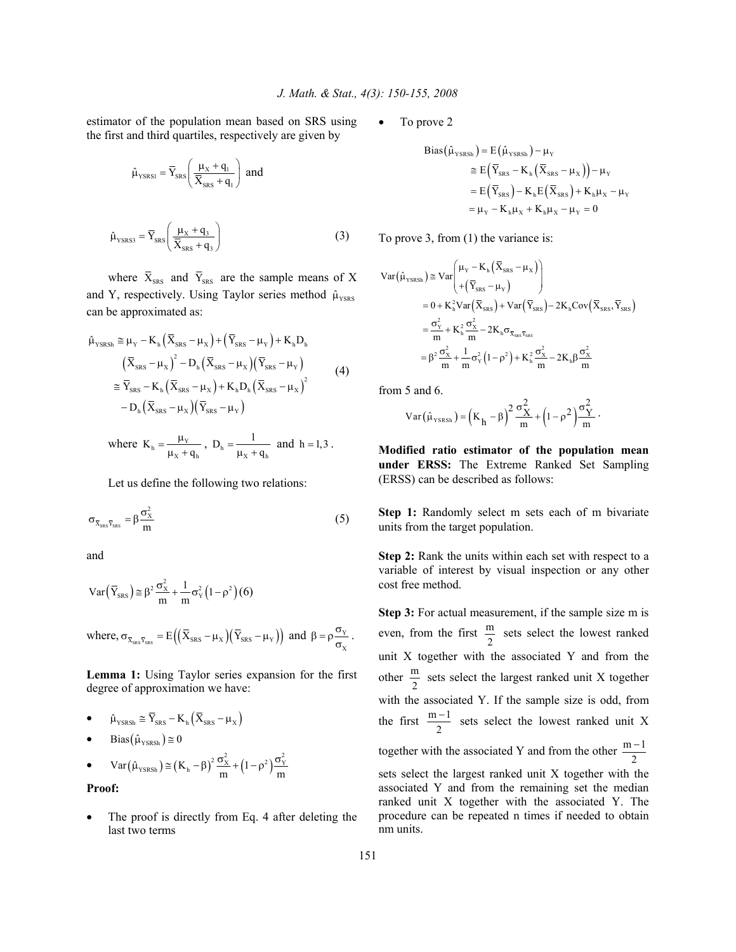estimator of the population mean based on SRS using the first and third quartiles, respectively are given by

$$
\hat{\mu}_{\text{YSRS1}} = \overline{Y}_{\text{SRS}} \left( \frac{\mu_{\text{X}} + q_{\text{i}}}{\overline{X}_{\text{SRS}} + q_{\text{i}}} \right) \text{ and}
$$
\n
$$
\hat{\mu}_{\text{YSRS3}} = \overline{Y}_{\text{SRS}} \left( \frac{\mu_{\text{X}} + q_{\text{i}}}{\overline{X}_{\text{SRS}} + q_{\text{i}}} \right) \tag{3}
$$

where  $\bar{X}_{SRS}$  and  $\bar{Y}_{SRS}$  are the sample means of X and Y, respectively. Using Taylor series method  $\hat{\mu}_{\text{YSS}S}$ can be approximated as:

$$
\hat{\mu}_{\text{YSRSh}} \cong \mu_{\text{Y}} - \mathbf{K}_{\text{h}} \left( \overline{\mathbf{X}}_{\text{SRS}} - \mu_{\text{X}} \right) + \left( \overline{\mathbf{Y}}_{\text{SRS}} - \mu_{\text{Y}} \right) + \mathbf{K}_{\text{h}} \mathbf{D}_{\text{h}}
$$
\n
$$
\left( \overline{\mathbf{X}}_{\text{SRS}} - \mu_{\text{X}} \right)^{2} - \mathbf{D}_{\text{h}} \left( \overline{\mathbf{X}}_{\text{SRS}} - \mu_{\text{X}} \right) \left( \overline{\mathbf{Y}}_{\text{SRS}} - \mu_{\text{Y}} \right)
$$
\n
$$
\cong \overline{\mathbf{Y}}_{\text{SRS}} - \mathbf{K}_{\text{h}} \left( \overline{\mathbf{X}}_{\text{SRS}} - \mu_{\text{X}} \right) + \mathbf{K}_{\text{h}} \mathbf{D}_{\text{h}} \left( \overline{\mathbf{X}}_{\text{SRS}} - \mu_{\text{X}} \right)^{2}
$$
\n
$$
- \mathbf{D}_{\text{h}} \left( \overline{\mathbf{X}}_{\text{SRS}} - \mu_{\text{X}} \right) \left( \overline{\mathbf{Y}}_{\text{SRS}} - \mu_{\text{Y}} \right)
$$
\n(4)

where 
$$
K_h = \frac{\mu_v}{\mu_x + q_h}
$$
,  $D_h = \frac{1}{\mu_x + q_h}$  and  $h = 1, 3$ .

Let us define the following two relations:

$$
\sigma_{\bar{X}_{\text{SRS}}\bar{Y}_{\text{SRS}}} = \beta \frac{\sigma_X^2}{m}
$$
 (5)

and

$$
Var\left(\overline{Y}_{SRS}\right) \cong \beta^2 \frac{\sigma_X^2}{m} + \frac{1}{m} \sigma_Y^2 \left(1 - \rho^2\right) \left(6\right)
$$

where,  $\sigma_{\bar{x}_{\text{sss}}\bar{y}_{\text{sss}}} = E((\bar{X}_{\text{sss}} - \mu_X)(\bar{Y}_{\text{sss}} - \mu_Y))$  and  $\beta = \rho \frac{\sigma_Y}{\sigma_X}$ .

**Lemma 1:** Using Taylor series expansion for the first degree of approximation we have:

• 
$$
\hat{\mu}_{\text{YSRSh}} \cong \overline{Y}_{\text{SRS}} - K_{\text{h}} \left( \overline{X}_{\text{SRS}} - \mu_{\text{X}} \right)
$$

 $Bias(\hat{\mu}_{YSRSh}) \geq 0$ 

• 
$$
Var(\hat{\mu}_{YSRSh}) \approx (K_h - \beta)^2 \frac{\sigma_X^2}{m} + (1 - \rho^2) \frac{\sigma_Y^2}{m}
$$

**Proof:** 

The proof is directly from Eq. 4 after deleting the last two terms

To prove 2

Bias(
$$
\hat{\mu}_{\text{YSRSh}}
$$
) = E( $\hat{\mu}_{\text{YSRSh}}$ ) –  $\mu_{\text{Y}}$   
\n
$$
\approx E(\overline{Y}_{\text{SRS}} - K_{\text{h}}(\overline{X}_{\text{SRS}} - \mu_{\text{X}})) - \mu_{\text{Y}}
$$
\n
$$
= E(\overline{Y}_{\text{SRS}}) - K_{\text{h}}E(\overline{X}_{\text{SRS}}) + K_{\text{h}}\mu_{\text{X}} - \mu_{\text{Y}}
$$
\n
$$
= \mu_{\text{Y}} - K_{\text{h}}\mu_{\text{X}} + K_{\text{h}}\mu_{\text{X}} - \mu_{\text{Y}} = 0
$$

To prove 3, from (1) the variance is:

$$
\begin{split} \text{Var}\big(\hat{\mu}_{\text{YSRSh}}\big) &\cong \text{Var}\Bigg(\frac{\mu_{\text{Y}} - \text{K}_{\text{h}}\left(\overline{X}_{\text{SRS}} - \mu_{\text{X}}\right)}{+\left(\overline{Y}_{\text{SRS}} - \mu_{\text{Y}}\right)}\Bigg) \\ &= 0 + \text{K}_{\text{h}}^2 \text{Var}\big(\overline{X}_{\text{SRS}}\big) + \text{Var}\big(\overline{Y}_{\text{SRS}}\big) - 2\text{K}_{\text{h}} \text{Cov}\big(\overline{X}_{\text{SRS}}, \overline{Y}_{\text{SRS}}\big) \\ &= \frac{\sigma_{\text{Y}}^2}{m} + \text{K}_{\text{h}}^2 \frac{\sigma_{\text{X}}^2}{m} - 2\text{K}_{\text{h}} \sigma_{\overline{X}_{\text{SRS}} \overline{Y}_{\text{SRS}} } \\ &= \beta^2 \frac{\sigma_{\text{X}}^2}{m} + \frac{1}{m} \sigma_{\text{Y}}^2 \big(1 - \rho^2\big) + \text{K}_{\text{h}}^2 \frac{\sigma_{\text{X}}^2}{m} - 2\text{K}_{\text{h}} \beta \frac{\sigma_{\text{X}}^2}{m} \end{split}
$$

from 5 and 6.

$$
Var\big(\hat{\mu}_{\scriptscriptstyle{YSRSh}}\big) = \Big(K_{h}^{} - \beta\Big)^2\,\frac{\sigma_X^2}{m} + \Big(1-\rho^2\,\Big)\frac{\sigma_Y^2}{m}\,\cdot
$$

**Modified ratio estimator of the population mean under ERSS:** The Extreme Ranked Set Sampling (ERSS) can be described as follows:

**Step 1:** Randomly select m sets each of m bivariate units from the target population.

**Step 2:** Rank the units within each set with respect to a variable of interest by visual inspection or any other cost free method.

**Step 3:** For actual measurement, if the sample size m is even, from the first  $\frac{m}{2}$  sets select the lowest ranked unit X together with the associated Y and from the other  $\frac{m}{2}$  sets select the largest ranked unit X together with the associated Y. If the sample size is odd, from the first  $\frac{m-1}{2}$  sets select the lowest ranked unit X together with the associated Y and from the other  $\frac{m-1}{2}$ − sets select the largest ranked unit X together with the

associated Y and from the remaining set the median ranked unit X together with the associated Y. The procedure can be repeated n times if needed to obtain nm units.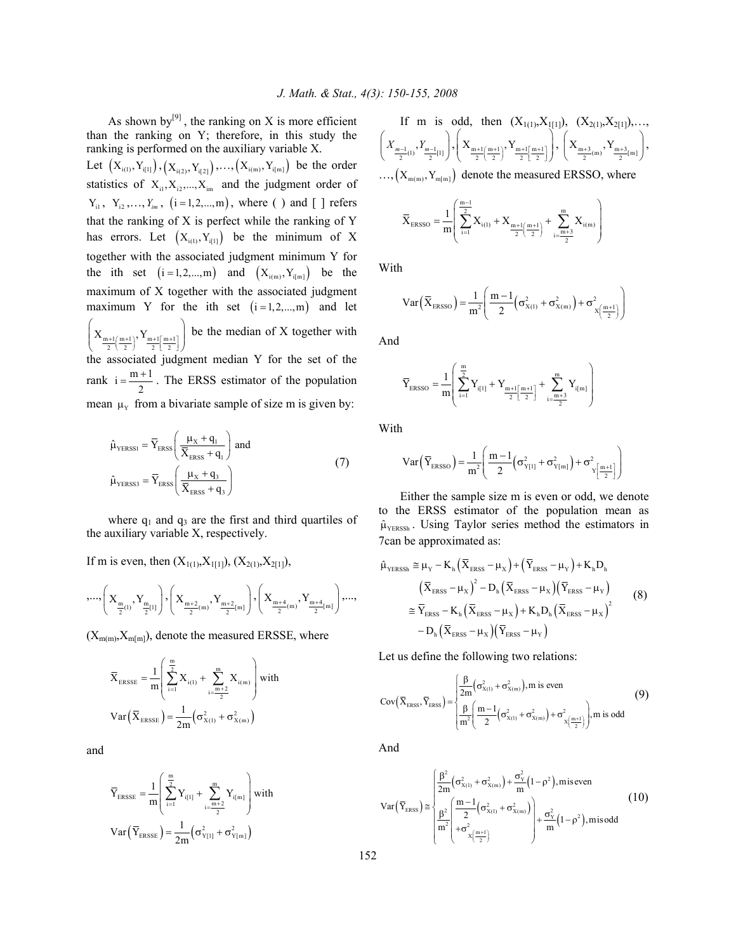As shown by<sup>[9]</sup>, the ranking on X is more efficient than the ranking on Y; therefore, in this study the ranking is performed on the auxiliary variable X.

Let  $(X_{i(1)}, Y_{i[1]}), (X_{i(2)}, Y_{i[2]}),..., (X_{i(m)}, Y_{i[m]})$  be the order statistics of  $X_{i1}, X_{i2},..., X_{im}$  and the judgment order of  $Y_{i1}$ ,  $Y_{i2}$ ,...,  $Y_{im}$ ,  $(i = 1, 2, ..., m)$ , where () and [] refers that the ranking of X is perfect while the ranking of Y has errors. Let  $(X_{i(1)}, Y_{i(1)})$  be the minimum of X together with the associated judgment minimum Y for the ith set  $(i = 1, 2, ..., m)$  and  $(X_{i(m)}, Y_{i[m]})$  be the maximum of X together with the associated judgment maximum Y for the ith set  $(i=1,2,...,m)$  and let  $X_{\frac{m+1}{2}(\frac{m+1}{2})}$ ,  $Y_{\frac{m+1}{2}[\frac{m+1}{2}]}$  $\left(X_{m+1(m+1)}, Y_{m+1[m+1]}\right)$  $\left(\frac{1}{2} \left( \frac{1}{2} \right) \frac{1}{2} \left[ \frac{1}{2} \right] \right)$  be the median of X together with the associated judgment median Y for the set of the rank  $i = \frac{m+1}{2}$ . The ERSS estimator of the population mean  $\mu_Y$  from a bivariate sample of size m is given by:

$$
\hat{\mu}_{\text{YERSS1}} = \overline{Y}_{\text{ERSS}} \left( \frac{\mu_{\text{X}} + q_{1}}{\overline{X}_{\text{ERSS}} + q_{1}} \right) \text{ and}
$$
\n
$$
\hat{\mu}_{\text{YERSS3}} = \overline{Y}_{\text{ERSS}} \left( \frac{\mu_{\text{X}} + q_{3}}{\overline{X}_{\text{ERSS}} + q_{3}} \right)
$$
\n(7)

where  $q_1$  and  $q_3$  are the first and third quartiles of the auxiliary variable X, respectively.

If m is even, then  $(X_{1(1)}, X_{1[1]})$ ,  $(X_{2(1)}, X_{2[1]})$ ,

$$
,...,\left(X_{\frac{m}{2}(l)},Y_{\frac{m}{2}[l]}\right),\left(X_{\frac{m+2}{2}(m)},Y_{\frac{m+2}{2}[m]}\right),\left(X_{\frac{m+4}{2}(m)},Y_{\frac{m+4}{2}[m]}\right),...,
$$

 $(X_{m(m)}, X_{m[m]})$ , denote the measured ERSSE, where

$$
\overline{X}_{\text{ERSSE}} = \frac{1}{m} \left( \sum_{i=1}^{\frac{m}{2}} X_{i(1)} + \sum_{i=\frac{m+2}{2}}^{m} X_{i(m)} \right) \text{with}
$$
\n
$$
Var\left(\overline{X}_{\text{ERSSE}}\right) = \frac{1}{2m} \left(\sigma_{X(1)}^2 + \sigma_{X(m)}^2\right)
$$

and

$$
\overline{Y}_{\text{ERSSE}} = \frac{1}{m} \left( \sum_{i=1}^{\frac{m}{2}} Y_{i[1]} + \sum_{i=\frac{m+2}{2}}^{m} Y_{i[m]} \right) \text{with}
$$
\n
$$
Var\left(\overline{Y}_{\text{ERSSE}}\right) = \frac{1}{2m} \left( \sigma_{Y[1]}^2 + \sigma_{Y[m]}^2 \right)
$$

If m is odd, then  $(X_{1(1)}, X_{1(1)})$ ,  $(X_{2(1)}, X_{2(1)})$ ,...  $\left(X_{\frac{m-1}{2}(1)}, Y_{\frac{m-1}{2}[1]}\right), \left(X_{\frac{m+1}{2}\left(\frac{m+1}{2}\right)}, Y_{\frac{m+1}{2}\left[\frac{m+1}{2}\right]}\right)$  $\left(X_{m+1(m+1)}, Y_{m+1[m+1]}\right)$  $\left(X_{\frac{m+1}{2}\left(\frac{m+1}{2}\right)}, Y_{\frac{m+1}{2}\left[\frac{m+1}{2}\right]}\right), \left(X_{\frac{m+3}{2}\left(m\right)}, Y_{\frac{m+3}{2}\left[m\right]}\right),$  $\ldots, \left(X_{m(m)}, Y_{m[m]}\right)$  denote the measured ERSSO, where

$$
\overline{X}_{ERSSO} = \frac{1}{m} \left( \sum_{i=1}^{\frac{m-1}{2}} X_{i(1)} + X_{\frac{m+1}{2} \left( \frac{m+1}{2} \right)} + \sum_{i=\frac{m+3}{2}}^{m} X_{i(m)} \right)
$$

With

$$
Var\left(\overline{X}_{ERSSO}\right) = \frac{1}{m^2} \left( \frac{m-1}{2} \left( \sigma_{X(1)}^2 + \sigma_{X(m)}^2 \right) + \sigma_{X\left(\frac{m+1}{2}\right)}^2 \right)
$$

And

$$
\overline{Y}_{ERSSO} = \frac{1}{m} \left( \sum_{i=1}^{\frac{m}{2}} Y_{i[1]} + Y_{\frac{m+1}{2} \left \lceil \frac{m+1}{2} \right \rceil} + \sum_{i=\frac{m+3}{2}}^{m} Y_{i[m]} \right)
$$

With

$$
Var\left(\overline{Y}_{ERSSO}\right) = \frac{1}{m^2} \left( \frac{m-1}{2} \left( \sigma_{Y[1]}^2 + \sigma_{Y[m]}^2 \right) + \sigma_{Y\left[\frac{m+1}{2}\right]}^2 \right)
$$

 Either the sample size m is even or odd, we denote to the ERSS estimator of the population mean as  $\hat{\mu}_{YERSSh}$ . Using Taylor series method the estimators in 7can be approximated as:

$$
\hat{\mu}_{\text{YERSSh}} \cong \mu_{\text{Y}} - K_{\text{h}} (\overline{X}_{\text{ERS}} - \mu_{\text{X}}) + (\overline{Y}_{\text{ERS}} - \mu_{\text{Y}}) + K_{\text{h}} D_{\text{h}} \n(\overline{X}_{\text{ERS}} - \mu_{\text{X}})^{2} - D_{\text{h}} (\overline{X}_{\text{ERS}} - \mu_{\text{X}}) (\overline{Y}_{\text{ERS}} - \mu_{\text{Y}}) \n\cong \overline{Y}_{\text{ERS}} - K_{\text{h}} (\overline{X}_{\text{ERS}} - \mu_{\text{X}}) + K_{\text{h}} D_{\text{h}} (\overline{X}_{\text{ERS}} - \mu_{\text{X}})^{2} \n- D_{\text{h}} (\overline{X}_{\text{ERS}} - \mu_{\text{X}}) (\overline{Y}_{\text{ERS}} - \mu_{\text{Y}})
$$
\n(8)

Let us define the following two relations:

$$
Cov\left(\overline{X}_{ERSS}, \overline{Y}_{ERSS}\right) = \begin{cases} \frac{\beta}{2m} \left(\sigma_{X(1)}^2 + \sigma_{X(m)}^2\right), m \text{ is even} \\ \frac{\beta}{m^2} \left(\frac{m-1}{2} \left(\sigma_{X(1)}^2 + \sigma_{X(m)}^2\right) + \sigma_{X\left(\frac{m+1}{2}\right)}^2\right), m \text{ is odd} \end{cases}
$$
(9)

And

$$
\text{Var}\left(\overline{Y}_{\text{ERSS}}\right) \cong \begin{cases} \frac{\beta^2}{2m} \left(\sigma_{x_{(1)}}^2 + \sigma_{x_{(m)}}^2\right) + \frac{\sigma_v^2}{m} \left(1 - \rho^2\right), \text{miseven} \\ \frac{\beta^2}{m^2} \left(\frac{m - 1}{2} \left(\sigma_{x_{(1)}}^2 + \sigma_{x_{(m)}}^2\right)\right) + \frac{\sigma_v^2}{m} \left(1 - \rho^2\right), \text{misodd} \end{cases} \tag{10}
$$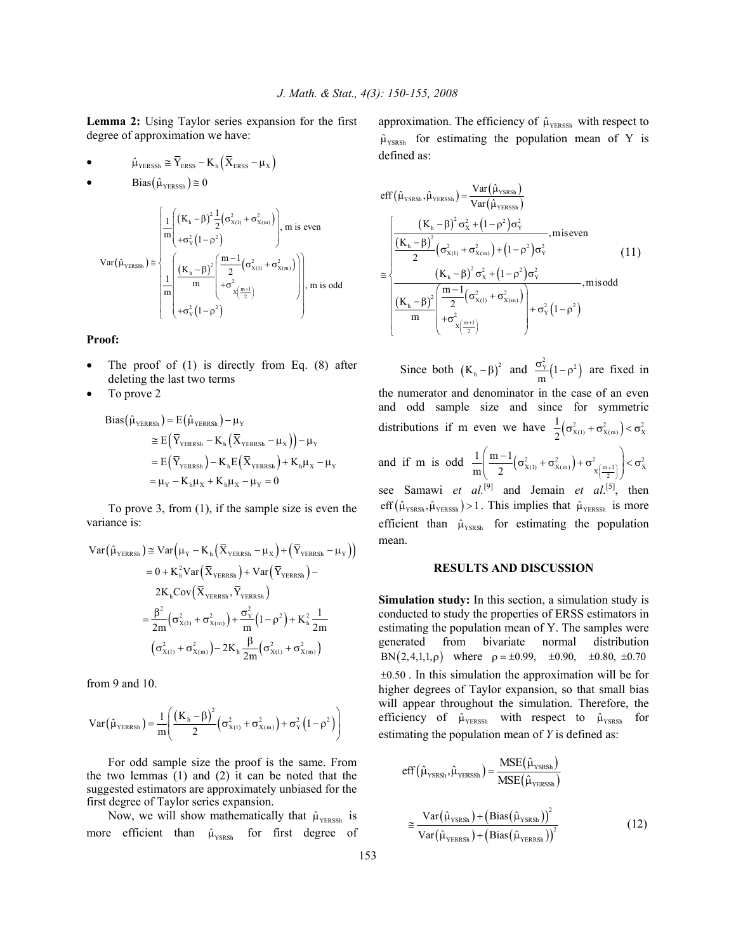**Lemma 2:** Using Taylor series expansion for the first degree of approximation we have:

$$
\bullet \hspace{1.5cm} {\hat{\mu}_{\scriptscriptstyle \mathrm{YERSSh}}} \cong {\overline{Y}_{\scriptscriptstyle \mathrm{ERSS}}} - K_{\scriptscriptstyle \mathrm{h}} \hspace{1pt} \left({\overline{X}_{\scriptscriptstyle \mathrm{ERSS}}} - \mu_{\scriptscriptstyle \mathrm{X}} \right)
$$

• 
$$
\text{Bias}(\hat{\mu}_{\text{YERSSh}}) \cong 0
$$

$$
Var(\hat{\mu}_{YERSSh}) \approx \frac{\left( \frac{1}{m} \left( (K_h - \beta)^2 \frac{1}{2} (\sigma_{X(1)}^2 + \sigma_{X(m)}^2) \right) \right)}{\left( + \sigma_Y^2 (1 - \rho^2) \right)} \text{ m is even}
$$
\n
$$
Var(\hat{\mu}_{YERSSh}) \approx \frac{\left( \frac{(K_h - \beta)^2}{m} \left( \frac{m - 1}{2} (\sigma_{X(1)}^2 + \sigma_{X(m)}^2) \right) \right)}{\left( + \sigma_X^2 (\frac{m + 1}{2}) \right)} \text{ m is odd}
$$

**Proof:** 

- The proof of  $(1)$  is directly from Eq.  $(8)$  after deleting the last two terms
- To prove 2

$$
Bias(\hat{\mu}_{YERRSh}) = E(\hat{\mu}_{YERRSh}) - \mu_Y
$$
  
\n
$$
\approx E(\overline{Y}_{YERRSh} - K_h(\overline{X}_{YERRSh} - \mu_X)) - \mu_Y
$$
  
\n
$$
= E(\overline{Y}_{YERRSh}) - K_h E(\overline{X}_{YERRSh}) + K_h \mu_X - \mu_Y
$$
  
\n
$$
= \mu_Y - K_h \mu_X + K_h \mu_X - \mu_Y = 0
$$

 To prove 3, from (1), if the sample size is even the variance is:

$$
Var(\hat{\mu}_{YERRSh}) \cong Var(\mu_{Y} - K_{h}(\overline{X}_{YERRSh} - \mu_{X}) + (\overline{Y}_{YERRSh} - \mu_{Y}))
$$
  
\n
$$
= 0 + K_{h}^{2}Var(\overline{X}_{YERRSh}) + Var(\overline{Y}_{YERRSh}) -
$$
  
\n
$$
2K_{h}Cov(\overline{X}_{YERRSh}, \overline{Y}_{YERRSh})
$$
  
\n
$$
= \frac{\beta^{2}}{2m}(\sigma_{X(1)}^{2} + \sigma_{X(m)}^{2}) + \frac{\sigma_{Y}^{2}}{m}(1 - \rho^{2}) + K_{h}^{2} \frac{1}{2m}
$$
  
\n
$$
(\sigma_{X(1)}^{2} + \sigma_{X(m)}^{2}) - 2K_{h} \frac{\beta}{2m}(\sigma_{X(1)}^{2} + \sigma_{X(m)}^{2})
$$

from 9 and 10.

$$
Var\big(\hat{\mu}_{\scriptscriptstyle{YERRSh}}\big) \!=\! \frac{1}{m}\!\!\left(\!\frac{\left(K_{\rm h}\!-\!\beta\right)^{\!2}}{2}\!\left(\sigma_{\scriptscriptstyle{X(1)}}^2\!+\!\sigma_{\scriptscriptstyle{X(m)}}^2\right) \!+\! \sigma_{\scriptscriptstyle{Y}}^2\!\left(\mathbb{1}\!-\!\rho^2\right)\right)
$$

 For odd sample size the proof is the same. From the two lemmas (1) and (2) it can be noted that the suggested estimators are approximately unbiased for the first degree of Taylor series expansion.

Now, we will show mathematically that  $\hat{\mu}_{Y \text{ERSSh}}$  is more efficient than  $\hat{\mu}_{\text{YSSRSh}}$  for first degree of approximation. The efficiency of  $\hat{\mu}_{Y \text{ERSSh}}$  with respect to  $\hat{\mu}_{YSRSh}$  for estimating the population mean of Y is defined as:

$$
eff(\hat{\mu}_{\text{YSRSh}}, \hat{\mu}_{\text{YERSh}}) = \frac{Var(\hat{\mu}_{\text{YERSh}})}{Var(\hat{\mu}_{\text{YERSh}})}
$$
\n
$$
\approx \begin{cases}\n\frac{(K_{\text{h}} - \beta)^2 \sigma_{X}^2 + (1 - \rho^2) \sigma_{Y}^2}{2} & , \text{miseven} \\
\frac{(K_{\text{h}} - \beta)^2}{2} (\sigma_{X(1)}^2 + \sigma_{X(m)}^2) + (1 - \rho^2) \sigma_{Y}^2 & (11) \\
\frac{(K_{\text{h}} - \beta)^2 \sigma_{X}^2 + (1 - \rho^2) \sigma_{Y}^2}{2} & , \text{misodd} \\
\frac{(K_{\text{h}} - \beta)^2}{m} \begin{cases}\n\frac{m - 1}{2} (\sigma_{X(1)}^2 + \sigma_{X(m)}^2) \\
+ \sigma_{X(\frac{m + 1}{2})}^2\n\end{cases} + \sigma_{Y}^2 (1 - \rho^2)\n\end{cases}
$$

Since both  $(K_h - \beta)^2$  and  $\frac{\sigma_v^2}{m} (1 - \rho^2)$  are fixed in the numerator and denominator in the case of an even and odd sample size and since for symmetric distributions if m even we have  $\frac{1}{2} (\sigma_{X(1)}^2 + \sigma_{X(m)}^2) < \sigma_X^2$  $\frac{1}{2} (\sigma_{X(1)}^2 + \sigma_{X(m)}^2) < \sigma$ and if m is odd  $\frac{1}{m} \left( \frac{m-1}{2} (\sigma_{X(1)}^2 + \sigma_{X(m)}^2) + \sigma_{X(\frac{m+1}{2})}^2 \right) < \sigma_X^2$  $1 \mid m-1$  $\frac{1}{m} \left( \frac{m-1}{2} \left( \sigma_{X(1)}^2 + \sigma_{X(m)}^2 \right) + \sigma_{X(\frac{m+1}{2})}^2 \right) < \sigma$ see Samawi *et al.*<sup>[9]</sup> and Jemain *et al.*<sup>[5]</sup>, then eff  $(\hat{\mu}_{\text{YSRSh}}, \hat{\mu}_{\text{YERSSh}}) > 1$ . This implies that  $\hat{\mu}_{\text{YERSSh}}$  is more efficient than  $\hat{\mu}_{YSRSh}$  for estimating the population mean.

### **RESULTS AND DISCUSSION**

**Simulation study:** In this section, a simulation study is conducted to study the properties of ERSS estimators in estimating the population mean of Y. The samples were generated from bivariate normal distribution BN  $(2,4,1,1,\rho)$  where  $\rho = \pm 0.99$ ,  $\pm 0.90$ ,  $\pm 0.80$ ,  $\pm 0.70$  $\pm 0.50$ . In this simulation the approximation will be for higher degrees of Taylor expansion, so that small bias will appear throughout the simulation. Therefore, the efficiency of  $\hat{\mu}_{YERSsh}$  with respect to  $\hat{\mu}_{YSRSh}$  for estimating the population mean of *Y* is defined as:

$$
eff(\hat{\mu}_{YSRSh}, \hat{\mu}_{YERSh}) = \frac{MSE(\hat{\mu}_{YSRSh})}{MSE(\hat{\mu}_{YERSh})}
$$

$$
\approx \frac{Var(\hat{\mu}_{YSRSh}) + (Bias(\hat{\mu}_{YSRSh}))^2}{Var(\hat{\mu}_{YERSh}) + (Bias(\hat{\mu}_{YERSh}))^2}
$$
(12)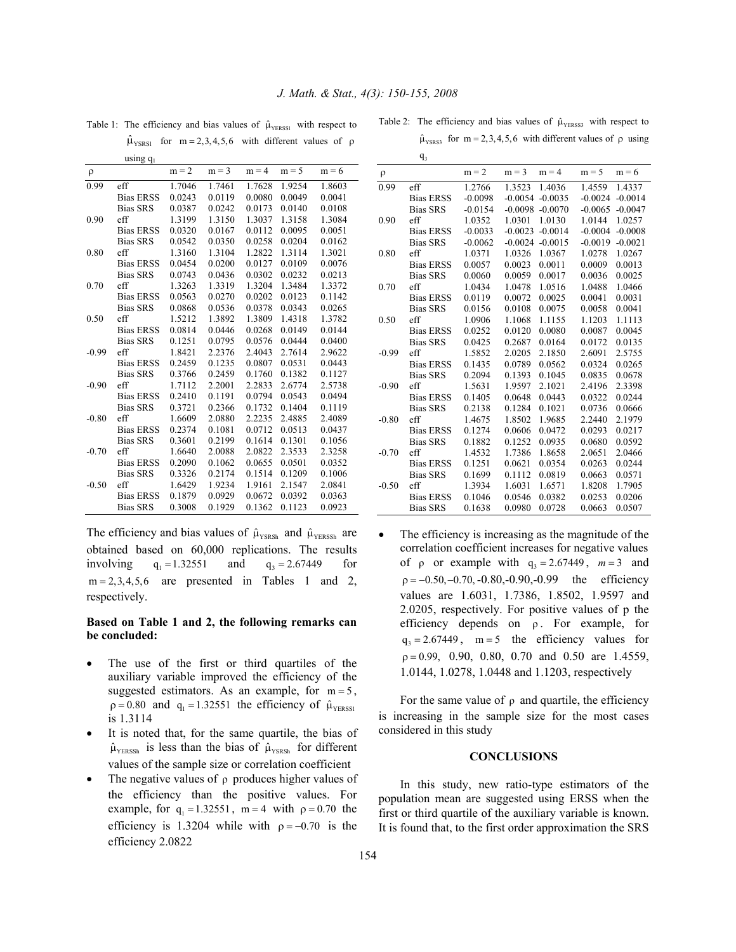$q_{3}$ 

|         | using $q_1$      |         |         |         |         |         |
|---------|------------------|---------|---------|---------|---------|---------|
| $\rho$  |                  | $m = 2$ | $m = 3$ | $m = 4$ | $m = 5$ | $m = 6$ |
| 0.99    | eff              | 1.7046  | 1.7461  | 1.7628  | 1.9254  | 1.8603  |
|         | <b>Bias ERSS</b> | 0.0243  | 0.0119  | 0.0080  | 0.0049  | 0.0041  |
|         | <b>Bias SRS</b>  | 0.0387  | 0.0242  | 0.0173  | 0.0140  | 0.0108  |
| 0.90    | eff              | 1.3199  | 1.3150  | 1.3037  | 1.3158  | 1.3084  |
|         | <b>Bias ERSS</b> | 0.0320  | 0.0167  | 0.0112  | 0.0095  | 0.0051  |
|         | <b>Bias SRS</b>  | 0.0542  | 0.0350  | 0.0258  | 0.0204  | 0.0162  |
| 0.80    | eff              | 1.3160  | 1.3104  | 1.2822  | 1.3114  | 1.3021  |
|         | <b>Bias ERSS</b> | 0.0454  | 0.0200  | 0.0127  | 0.0109  | 0.0076  |
|         | <b>Bias SRS</b>  | 0.0743  | 0.0436  | 0.0302  | 0.0232  | 0.0213  |
| 0.70    | eff              | 1.3263  | 1.3319  | 1.3204  | 1.3484  | 1.3372  |
|         | <b>Bias ERSS</b> | 0.0563  | 0.0270  | 0.0202  | 0.0123  | 0.1142  |
|         | <b>Bias SRS</b>  | 0.0868  | 0.0536  | 0.0378  | 0.0343  | 0.0265  |
| 0.50    | eff              | 1.5212  | 1.3892  | 1.3809  | 1.4318  | 1.3782  |
|         | <b>Bias ERSS</b> | 0.0814  | 0.0446  | 0.0268  | 0.0149  | 0.0144  |
|         | <b>Bias SRS</b>  | 0.1251  | 0.0795  | 0.0576  | 0.0444  | 0.0400  |
| $-0.99$ | eff              | 1.8421  | 2.2376  | 2.4043  | 2.7614  | 2.9622  |
|         | <b>Bias ERSS</b> | 0.2459  | 0.1235  | 0.0807  | 0.0531  | 0.0443  |
|         | <b>Bias SRS</b>  | 0.3766  | 0.2459  | 0.1760  | 0.1382  | 0.1127  |
| $-0.90$ | eff              | 1.7112  | 2.2001  | 2.2833  | 2.6774  | 2.5738  |
|         | <b>Bias ERSS</b> | 0.2410  | 0.1191  | 0.0794  | 0.0543  | 0.0494  |
|         | <b>Bias SRS</b>  | 0.3721  | 0.2366  | 0.1732  | 0.1404  | 0.1119  |
| $-0.80$ | eff              | 1.6609  | 2.0880  | 2.2235  | 2.4885  | 2.4089  |
|         | <b>Bias ERSS</b> | 0.2374  | 0.1081  | 0.0712  | 0.0513  | 0.0437  |
|         | <b>Bias SRS</b>  | 0.3601  | 0.2199  | 0.1614  | 0.1301  | 0.1056  |
| $-0.70$ | eff              | 1.6640  | 2.0088  | 2.0822  | 2.3533  | 2.3258  |
|         | <b>Bias ERSS</b> | 0.2090  | 0.1062  | 0.0655  | 0.0501  | 0.0352  |
|         | <b>Bias SRS</b>  | 0.3326  | 0.2174  | 0.1514  | 0.1209  | 0.1006  |
| $-0.50$ | eff              | 1.6429  | 1.9234  | 1.9161  | 2.1547  | 2.0841  |
|         | <b>Bias ERSS</b> | 0.1879  | 0.0929  | 0.0672  | 0.0392  | 0.0363  |
|         | <b>Bias SRS</b>  | 0.3008  | 0.1929  | 0.1362  | 0.1123  | 0.0923  |

Table 1: The efficiency and bias values of  $\hat{\mu}_{\text{YERSSI}}$  with respect to  $\hat{\mu}_{\text{YSSR}}$  for m = 2,3,4,5,6 with different values of ρ

Table 2: The efficiency and bias values of  $\hat{\mu}_{Y \text{ERSS3}}$  with respect to  $\hat{\mu}_{\text{YSRS3}}$  for m = 2,3,4,5,6 with different values of  $\rho$  using

| ρ       |                  | $m = 2$   | $m = 3$   | $m = 4$            | $m = 5$   | $m = 6$   |
|---------|------------------|-----------|-----------|--------------------|-----------|-----------|
| 0.99    | eff              | 1.2766    | 1.3523    | 1.4036             | 1.4559    | 1.4337    |
|         | <b>Bias ERSS</b> | $-0.0098$ |           | $-0.0054 - 0.0035$ | $-0.0024$ | $-0.0014$ |
|         | <b>Bias SRS</b>  | $-0.0154$ | $-0.0098$ | $-0.0070$          | $-0.0065$ | $-0.0047$ |
| 0.90    | eff              | 1.0352    | 1.0301    | 1.0130             | 1.0144    | 1.0257    |
|         | <b>Bias ERSS</b> | $-0.0033$ | $-0.0023$ | $-0.0014$          | $-0.0004$ | $-0.0008$ |
|         | <b>Bias SRS</b>  | $-0.0062$ | $-0.0024$ | $-0.0015$          | $-0.0019$ | $-0.0021$ |
| 0.80    | eff              | 1.0371    | 1.0326    | 1.0367             | 1.0278    | 1.0267    |
|         | <b>Bias ERSS</b> | 0.0057    | 0.0023    | 0.0011             | 0.0009    | 0.0013    |
|         | <b>Bias SRS</b>  | 0.0060    | 0.0059    | 0.0017             | 0.0036    | 0.0025    |
| 0.70    | eff              | 1.0434    | 1.0478    | 1.0516             | 1.0488    | 1.0466    |
|         | <b>Bias ERSS</b> | 0.0119    | 0.0072    | 0.0025             | 0.0041    | 0.0031    |
|         | <b>Bias SRS</b>  | 0.0156    | 0.0108    | 0.0075             | 0.0058    | 0.0041    |
| 0.50    | eff              | 1.0906    | 1.1068    | 1.1155             | 1.1203    | 1.1113    |
|         | <b>Bias ERSS</b> | 0.0252    | 0.0120    | 0.0080             | 0.0087    | 0.0045    |
|         | <b>Bias SRS</b>  | 0.0425    | 0.2687    | 0.0164             | 0.0172    | 0.0135    |
| $-0.99$ | eff              | 1.5852    | 2.0205    | 2.1850             | 2.6091    | 2.5755    |
|         | <b>Bias ERSS</b> | 0.1435    | 0.0789    | 0.0562             | 0.0324    | 0.0265    |
|         | <b>Bias SRS</b>  | 0.2094    | 0.1393    | 0.1045             | 0.0835    | 0.0678    |
| $-0.90$ | eff              | 1.5631    | 1.9597    | 2.1021             | 2.4196    | 2.3398    |
|         | <b>Bias ERSS</b> | 0.1405    | 0.0648    | 0.0443             | 0.0322    | 0.0244    |
|         | <b>Bias SRS</b>  | 0.2138    | 0.1284    | 0.1021             | 0.0736    | 0.0666    |
| $-0.80$ | eff              | 1.4675    | 1.8502    | 1.9685             | 2.2440    | 2.1979    |
|         | <b>Bias ERSS</b> | 0.1274    | 0.0606    | 0.0472             | 0.0293    | 0.0217    |
|         | <b>Bias SRS</b>  | 0.1882    | 0.1252    | 0.0935             | 0.0680    | 0.0592    |
| $-0.70$ | eff              | 1.4532    | 1.7386    | 1.8658             | 2.0651    | 2.0466    |
|         | <b>Bias ERSS</b> | 0.1251    | 0.0621    | 0.0354             | 0.0263    | 0.0244    |
|         | <b>Bias SRS</b>  | 0.1699    | 0.1112    | 0.0819             | 0.0663    | 0.0571    |
| $-0.50$ | eff              | 1.3934    | 1.6031    | 1.6571             | 1.8208    | 1.7905    |
|         | <b>Bias ERSS</b> | 0.1046    | 0.0546    | 0.0382             | 0.0253    | 0.0206    |
|         | <b>Bias SRS</b>  | 0.1638    | 0.0980    | 0.0728             | 0.0663    | 0.0507    |

The efficiency and bias values of  $\hat{\mu}_{\text{YSRSh}}$  and  $\hat{\mu}_{\text{YERSh}}$  are obtained based on 60,000 replications. The results involving  $q_1 = 1.32551$  and  $q_3 = 2.67449$  for  $m = 2,3,4,5,6$  are presented in Tables 1 and 2, respectively.

# **Based on Table 1 and 2, the following remarks can be concluded:**

- The use of the first or third quartiles of the auxiliary variable improved the efficiency of the suggested estimators. As an example, for  $m = 5$ ,  $\rho = 0.80$  and  $q_1 = 1.32551$  the efficiency of  $\hat{\mu}_{Y \text{ERSSI}}$ is 1.3114
- It is noted that, for the same quartile, the bias of  $\hat{\mu}_{YERSSh}$  is less than the bias of  $\hat{\mu}_{YSRSh}$  for different values of the sample size or correlation coefficient
- The negative values of  $\rho$  produces higher values of the efficiency than the positive values. For example, for  $q_1 = 1.32551$ , m = 4 with  $\rho = 0.70$  the efficiency is 1.3204 while with  $\rho = -0.70$  is the efficiency 2.0822

The efficiency is increasing as the magnitude of the correlation coefficient increases for negative values of  $\rho$  or example with  $q_3 = 2.67449$ ,  $m = 3$  and  $p = -0.50, -0.70, -0.80, -0.90, -0.99$  the efficiency values are 1.6031, 1.7386, 1.8502, 1.9597 and 2.0205, respectively. For positive values of p the efficiency depends on  $\rho$ . For example, for  $q_3 = 2.67449$ , m = 5 the efficiency values for  $p = 0.99, 0.90, 0.80, 0.70$  and  $0.50$  are 1.4559, 1.0144, 1.0278, 1.0448 and 1.1203, respectively

For the same value of  $\rho$  and quartile, the efficiency is increasing in the sample size for the most cases considered in this study

#### **CONCLUSIONS**

 In this study, new ratio-type estimators of the population mean are suggested using ERSS when the first or third quartile of the auxiliary variable is known. It is found that, to the first order approximation the SRS